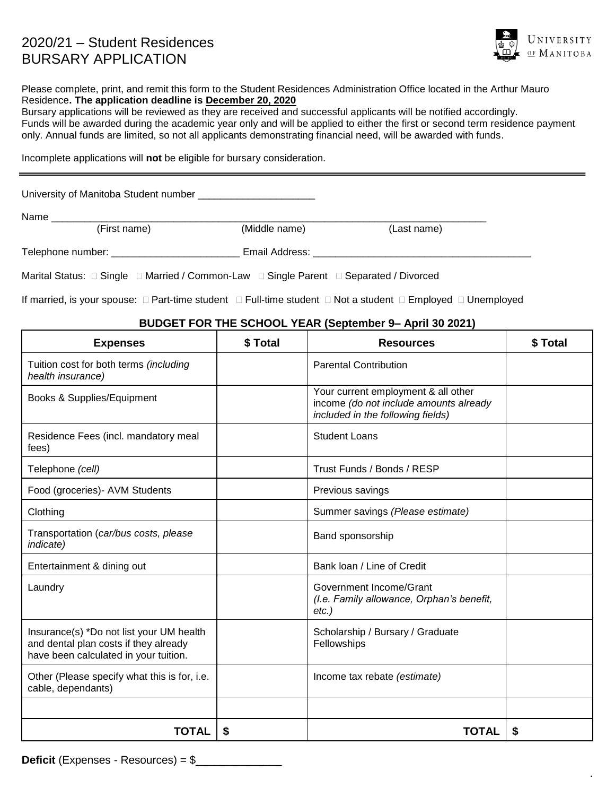## 2020/21 – Student Residences BURSARY APPLICATION



.

Please complete, print, and remit this form to the Student Residences Administration Office located in the Arthur Mauro Residence**. The application deadline is December 20, 2020**

Bursary applications will be reviewed as they are received and successful applicants will be notified accordingly. Funds will be awarded during the academic year only and will be applied to either the first or second term residence payment only. Annual funds are limited, so not all applicants demonstrating financial need, will be awarded with funds.

Incomplete applications will **not** be eligible for bursary consideration.

University of Manitoba Student number

Name \_\_\_\_\_\_\_\_\_\_\_\_\_\_\_\_\_\_\_\_\_\_\_\_\_\_\_\_\_\_\_\_\_\_\_\_\_\_\_\_\_\_\_\_\_\_\_\_\_\_\_\_\_\_\_\_\_\_\_\_\_\_\_\_\_\_\_\_\_\_\_\_\_\_\_\_\_\_

(First name) (Middle name) (Last name)

Telephone number: \_\_\_\_\_\_\_\_\_\_\_\_\_\_\_\_\_\_\_\_\_\_\_ Email Address: \_\_\_\_\_\_\_\_\_\_\_\_\_\_\_\_\_\_\_\_\_\_\_\_\_\_\_\_\_\_\_\_\_\_\_\_\_\_\_

Marital Status:  $\Box$  Single  $\Box$  Married / Common-Law  $\Box$  Single Parent  $\Box$  Separated / Divorced

If married, is your spouse:  $\Box$  Part-time student  $\Box$  Full-time student  $\Box$  Not a student  $\Box$  Employed  $\Box$  Unemployed

## **BUDGET FOR THE SCHOOL YEAR (September 9– April 30 2021)**

| <b>Expenses</b>                                                                                                            | \$Total | <b>Resources</b>                                                                                                   | \$ Total |  |
|----------------------------------------------------------------------------------------------------------------------------|---------|--------------------------------------------------------------------------------------------------------------------|----------|--|
| Tuition cost for both terms (including<br>health insurance)                                                                |         | <b>Parental Contribution</b>                                                                                       |          |  |
| Books & Supplies/Equipment                                                                                                 |         | Your current employment & all other<br>income (do not include amounts already<br>included in the following fields) |          |  |
| Residence Fees (incl. mandatory meal<br>fees)                                                                              |         | <b>Student Loans</b>                                                                                               |          |  |
| Telephone (cell)                                                                                                           |         | Trust Funds / Bonds / RESP                                                                                         |          |  |
| Food (groceries)- AVM Students                                                                                             |         | Previous savings                                                                                                   |          |  |
| Clothing                                                                                                                   |         | Summer savings (Please estimate)                                                                                   |          |  |
| Transportation (car/bus costs, please<br><i>indicate</i> )                                                                 |         | Band sponsorship                                                                                                   |          |  |
| Entertainment & dining out                                                                                                 |         | Bank Ioan / Line of Credit                                                                                         |          |  |
| Laundry                                                                                                                    |         | Government Income/Grant<br>(I.e. Family allowance, Orphan's benefit,<br>$etc.$ )                                   |          |  |
| Insurance(s) *Do not list your UM health<br>and dental plan costs if they already<br>have been calculated in your tuition. |         | Scholarship / Bursary / Graduate<br>Fellowships                                                                    |          |  |
| Other (Please specify what this is for, i.e.<br>cable, dependants)                                                         |         | Income tax rebate (estimate)                                                                                       |          |  |
|                                                                                                                            |         |                                                                                                                    |          |  |
| TOTAL                                                                                                                      | S       | <b>TOTAL</b>                                                                                                       | S        |  |